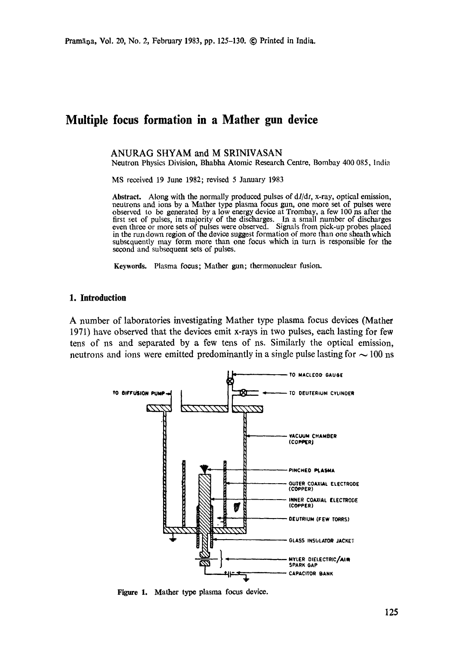# **Multiple focus formation in a Mather gun device**

### ANURAG SHYAM and M SRINIVASAN

Neutron Physics Division, Bhabha Atomic Research Centre, Bombay 400 085, India

MS received 19 June 1982; revised 5 January 1983

**Abstract.** Along with the normally produced pulses of *dl/dt,* x-ray, optical emission, neutrons and ions by a Mather type plasma focus gun, one more set of pulses were observed to be generated by a low energy device at Trombay, a few 100 ns after the first set of pulses, in majority of the discharges. In a small number of discharges even three or more sets of pulses were observed. Signals from pick-up probes placed in the run down region of the device suggest formation of more than one sheath which subsequently may form more than one focus which in turn is responsible for the second and subsequent sets of pulses.

**Keywords.** Plasma focus; Mather gun; thermonuclear fusion.

## **1. Introduction**

A number of laboratories investigating Mather type plasma focus devices (Mather 1971) have observed that the devices emit x-rays in two pulses, each lasting for few tens of ns and separated by a few tens of ns. Similarly the optical emission, neutrons and ions were emitted predominantly in a single pulse lasting for  $\sim$  100 ns



**Figure 1.**  Mather type plasma focus device.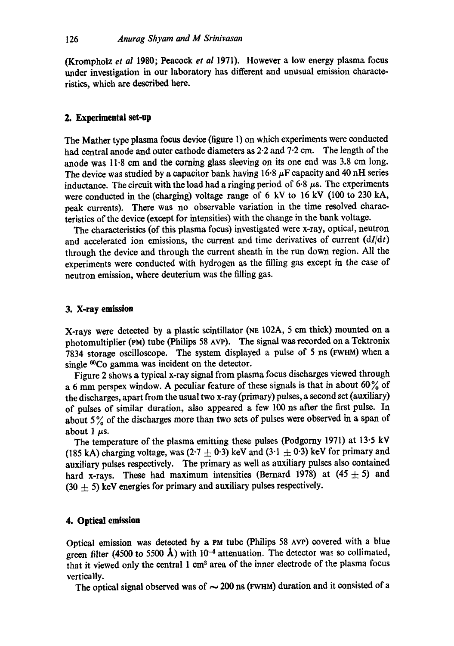(Krompholz *et al* 1980; Peacock *et al* 1971). However a low energy plasma focus under investigation in our laboratory has different and unusual emission characteristics, which are described here.

#### **2. Experimental set-up**

The Mather type plasma focus device (figure 1) on which experiments were conducted had central anode and outer cathode diameters as 2-2 and 7.2 cm. The length of the anode was 11.8 cm and the coming glass sleeving on its one end was 3.8 cm long. The device was studied by a capacitor bank having  $16.8~\mu$ F capacity and 40 nH series inductance. The circuit with the load had a ringing period of  $6.8 \mu s$ . The experiments were conducted in the (charging) voltage range of 6 kV to 16 kV (100 to 230 kA, peak currents). There was no observable variation in the time resolved characteristics of the device (except for intensities) with the change in the bank voltage.

The characteristics (of this plasma focus) investigated were x-ray, optical, neutron and accelerated ion emissions, the current and time derivatives of current *(dI/dt)*  through the device and through the current sheath in the run down region. All the experiments were conducted with hydrogen as the filling gas except in the case of neutron emission, where deuterium was the filling gas.

## **3. X-ray emission**

X-rays were detected by a plastic scintillator (NE 102A, 5 cm thick) mounted on a photomultiplier (pM) tube (Philips 58 AVP). The signal was recorded on a Tektronix 7834 storage oscilloscope. The system displayed a pulse of 5 ns (FWHM) when a single <sup>60</sup>Co gamma was incident on the detector.

Figure 2 shows a typical x-ray signal from plasma focus discharges viewed through a 6 mm perspex window. A peculiar feature of these signals is that in about  $60\%$  of the discharges, apart from the usual two x-ray (primary) pulses, a second set (auxiliary) of pulses of similar duration, also appeared a few 100 ns after the first pulse. In about  $5\%$  of the discharges more than two sets of pulses were observed in a span of about 1  $\mu$ s.

The temperature of the plasma emitting these pulses (Podgomy 1971) at 13.5 kV (185 kA) charging voltage, was  $(2.7 \pm 0.3)$  keV and  $(3.1 \pm 0.3)$  keV for primary and auxiliary pulses respectively. The primary as well as auxiliary pulses also contained hard x-rays. These had maximum intensities (Bernard 1978) at  $(45 \pm 5)$  and  $(30 + 5)$  keV energies for primary and auxiliary pulses respectively.

## **4. Optical emission**

Optical emission was detected by a PM tube (Philips 58 Ave) covered with a blue green filter (4500 to 5500 Å) with  $10^{-4}$  attenuation. The detector was so collimated, that it viewed only the central 1 cm<sup>2</sup> area of the inner electrode of the plasma focus vertically.

The optical signal observed was of  $\sim$  200 ns (FWHM) duration and it consisted of a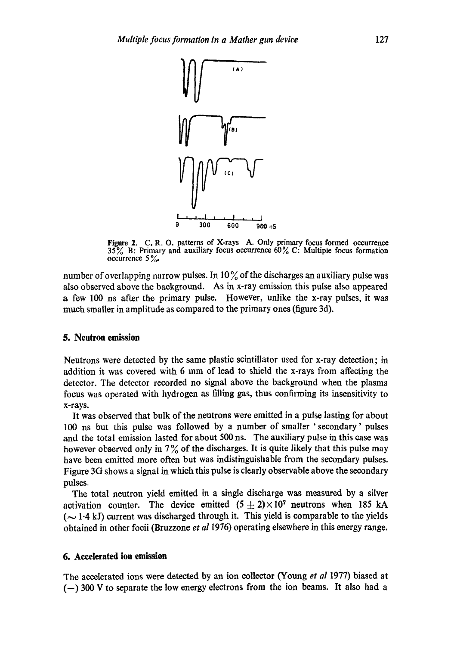

Figure 2. C.R.O. patterns of X-rays A. Only primary focus formed occurrence 35% B: Primary and auxiliary focus occurrence  $60\%$  C: Multiple focus formation occurrence  $5\%$ .

number of overlapping narrow pulses. In  $10\%$  of the discharges an auxiliary pulse was also observed above the background. As in x-ray emission this pulse also appeared a few 100 ns after the primary pulse. However, unlike the x-ray pulses, it was much smaller in amplitude as compared to the primary ones (figure 3d).

# **5. Neutron emission**

Neutrons were detected by the same plastic scintillator used for x-ray detection; in addition it was covered with 6 mm of lead to shield the x-rays from affecting the detector. The detector recorded no signal above the background when the plasma focus was operated with hydrogen as filling gas, thus confirming its insensitivity to x-rays.

It was observed that bulk of the neutrons were emitted in a pulse lasting for about 100 ns but this pulse was followed by a number of smaller 'secondary' pulses and the total emission lasted for about 500 ns. The auxiliary pulse in this case was however observed only in  $7\%$  of the discharges. It is quite likely that this pulse may have been emitted more often but was indistinguishable from the secondary pulses. Figure 3G shows a signal in which this pulse is clearly observable above the secondary pulses.

The total neutron yield emitted in a single discharge was measured by a silver activation counter. The device emitted  $(5 \pm 2) \times 10^7$  neutrons when 185 kA  $(-1.4 \text{ kJ})$  current was discharged through it. This yield is comparable to the yields obtained in other focii (Bruzzone *et a11976)* operating elsewhere in this energy range.

# **6. Accelerated ion emission**

The accelerated ions were detected by an ion collector (Young *et al* 1977) biased at  $(-)$  300 V to separate the low energy electrons from the ion beams. It also had a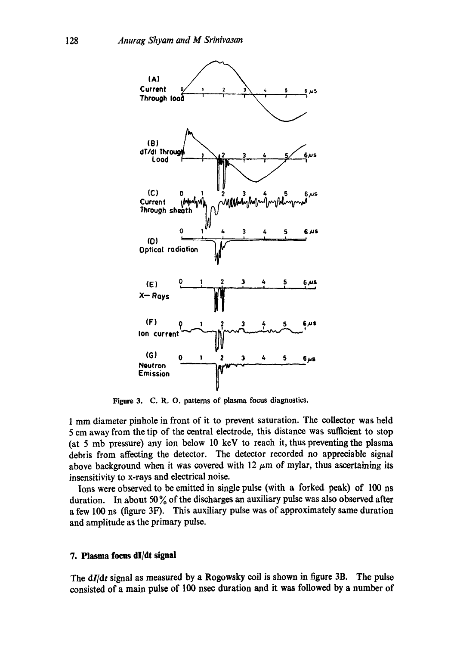

Figure 3. C.R.O. patterns of plasma focus diagnostics.

1 mm diameter pinhole in front of it to prevent saturation. The collector was held 5 em away from the tip of the central electrode, this distance was sutfieient to stop (at 5 mb pressure) any ion below 10 keV to reach it, thus preventing the plasma debris from affecting the detector. The detector recorded no appreciable signal above background when it was covered with  $12 \mu m$  of mylar, thus ascertaining its insensitivity to x-rays and electrical noise.

Ions were observed to be emitted in single pulse (with a forked peak) of 100 ns duration. In about  $50\%$  of the discharges an auxiliary pulse was also observed after a few 100 ns (figure 3F). This auxiliary pulse was of approximately same duration and amplitude as the primary pulse.

## **7. Plasma focus dl/dt signal**

The *dl/dt* signal as measured by a Rogowsky coil is shown in figure 3B. The pulse consisted of a main pulse of 100 nsec duration and it was followed by a number of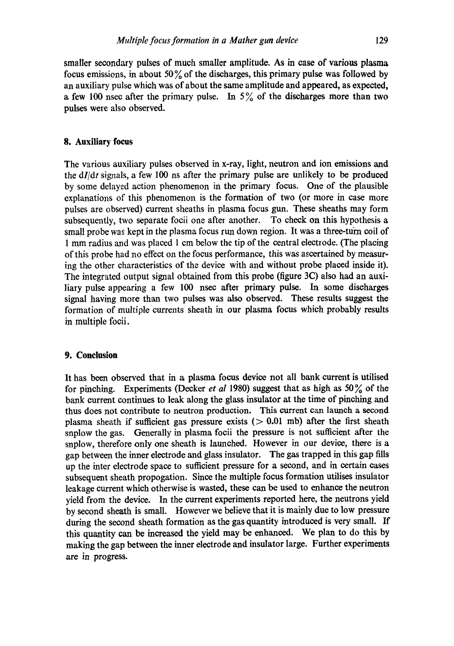smaller secondary pulses of much smaller amplitude. As in case of various plasma focus emissions, in about 50% of the discharges, this primary pulse was followed by an auxiliary pulse which was of about the same amplitude and appeared, as expected, a few 100 nsec after the primary pulse. In  $5\%$  of the discharges more than two pulses were also observed.

## **8. Auxiliary focus**

The various auxiliary pulses observed in x-ray, light, neutron and ion emissions and the *dl/dt* signals, a few 100 ns after the primary pulse are unlikely to be produced by some delayed action phenomenon in the primary focus. One of the plausible explanations of this phenomenon is the formation of two (or more in case more pulses are observed) current sheaths in plasma focus gun. These sheaths may form subsequently, two separate focii one after another. To cheek on this hypothesis a small probe was kept in the plasma focus run down region. It was a three-turn coil of 1 mm radius and was placed 1 cm below the tip of the central deetrode. (The placing of this probe had no effect on the focus performance, this was ascertained by measuring the other characteristics of the device with and without probe placed inside it). The integrated output signal obtained from this probe (figure 3C) also had an auxiliary pulse appearing a few 100 nsec after primary pulse. In some discharges signal having more than two pulses was also observed. These results suggest the formation of multiple currents sheath in our plasma focus which probably results in multiple focii.

#### **9. Conclusion**

It has been observed that in a plasma focus device not all bank current is utilised for pinching. Experiments (Decker *et al* 1980) suggest that as high as 50% of the bank current continues to leak along the glass insulator at the time of pinching and thus does not contribute to neutron production. This current can launch a second plasma sheath if sufficient gas pressure exists ( $> 0.01$  mb) after the first sheath snplow the gas. Generally in plasma focii the pressure is not sufficient after the snplow, therefore only one sheath is launched. However in our device, there is a gap between the inner electrode and glass insulator. The gas trapped in this gap fills up the inter electrode space to sufficient pressure for a second, and in certain cases subsequent sheath propogation. Since the multiple focus formation utilises insulator leakage current which otherwise is wasted, these can be used to enhance the neutron yield from the device. In the current experiments reported here, the neutrons yield by second sheath is small. However we believe that it is mainly due to low pressure during the second sheath formation as the gas quantity introduced is very small. If this quantity can be increased the yield may be enhanced. We plan to do this by making the gap between the inner electrode and insulator large. Further experiments are in progress.